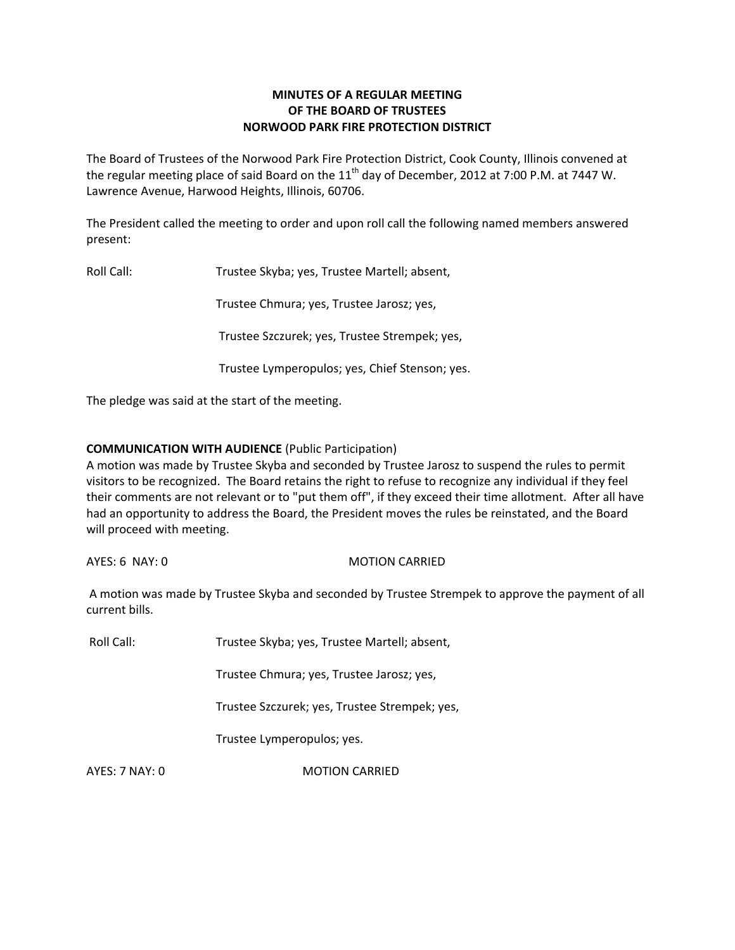# **MINUTES OF A REGULAR MEETING OF THE BOARD OF TRUSTEES NORWOOD PARK FIRE PROTECTION DISTRICT**

The Board of Trustees of the Norwood Park Fire Protection District, Cook County, Illinois convened at the regular meeting place of said Board on the  $11<sup>th</sup>$  day of December, 2012 at 7:00 P.M. at 7447 W. Lawrence Avenue, Harwood Heights, Illinois, 60706.

The President called the meeting to order and upon roll call the following named members answered present:

Roll Call: Trustee Skyba; yes, Trustee Martell; absent,

Trustee Chmura; yes, Trustee Jarosz; yes,

Trustee Szczurek; yes, Trustee Strempek; yes,

Trustee Lymperopulos; yes, Chief Stenson; yes.

The pledge was said at the start of the meeting.

# **COMMUNICATION WITH AUDIENCE** (Public Participation)

A motion was made by Trustee Skyba and seconded by Trustee Jarosz to suspend the rules to permit visitors to be recognized. The Board retains the right to refuse to recognize any individual if they feel their comments are not relevant or to "put them off", if they exceed their time allotment. After all have had an opportunity to address the Board, the President moves the rules be reinstated, and the Board will proceed with meeting.

AYES: 6 NAY: 0 MOTION CARRIED

A motion was made by Trustee Skyba and seconded by Trustee Strempek to approve the payment of all current bills.

Roll Call: Trustee Skyba; yes, Trustee Martell; absent,

Trustee Chmura; yes, Trustee Jarosz; yes,

Trustee Szczurek; yes, Trustee Strempek; yes,

Trustee Lymperopulos; yes.

AYES: 7 NAY: 0 MOTION CARRIED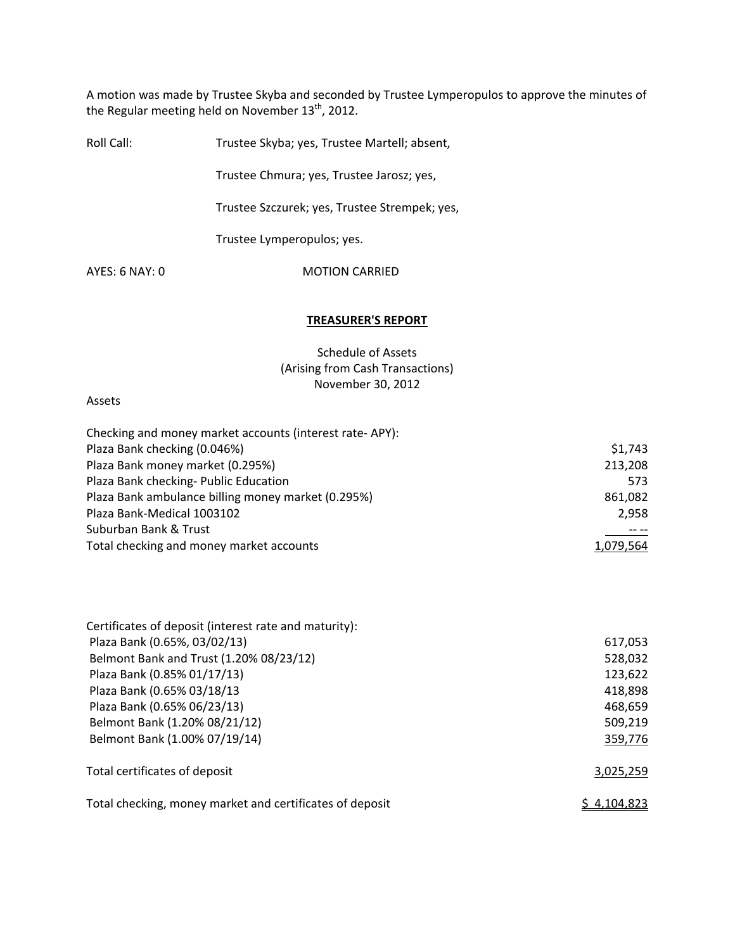A motion was made by Trustee Skyba and seconded by Trustee Lymperopulos to approve the minutes of the Regular meeting held on November  $13^{\text{th}}$ , 2012.

| Roll Call:     | Trustee Skyba; yes, Trustee Martell; absent,  |
|----------------|-----------------------------------------------|
|                | Trustee Chmura; yes, Trustee Jarosz; yes,     |
|                | Trustee Szczurek; yes, Trustee Strempek; yes, |
|                | Trustee Lymperopulos; yes.                    |
| AYFS: 6 NAY: 0 | <b>MOTION CARRIED</b>                         |
|                |                                               |

### **TREASURER'S REPORT**

Schedule of Assets (Arising from Cash Transactions) November 30, 2012

### Assets

| Checking and money market accounts (interest rate-APY): |           |
|---------------------------------------------------------|-----------|
| Plaza Bank checking (0.046%)                            | \$1,743   |
| Plaza Bank money market (0.295%)                        | 213,208   |
| Plaza Bank checking- Public Education                   | 573       |
| Plaza Bank ambulance billing money market (0.295%)      | 861,082   |
| Plaza Bank-Medical 1003102                              | 2,958     |
| Suburban Bank & Trust                                   |           |
| Total checking and money market accounts                | 1,079,564 |

| Certificates of deposit (interest rate and maturity):    |             |
|----------------------------------------------------------|-------------|
| Plaza Bank (0.65%, 03/02/13)                             | 617,053     |
| Belmont Bank and Trust (1.20% 08/23/12)                  | 528,032     |
| Plaza Bank (0.85% 01/17/13)                              | 123,622     |
| Plaza Bank (0.65% 03/18/13                               | 418,898     |
| Plaza Bank (0.65% 06/23/13)                              | 468,659     |
| Belmont Bank (1.20% 08/21/12)                            | 509,219     |
| Belmont Bank (1.00% 07/19/14)                            | 359,776     |
| Total certificates of deposit                            | 3,025,259   |
| Total checking, money market and certificates of deposit | \$4,104,823 |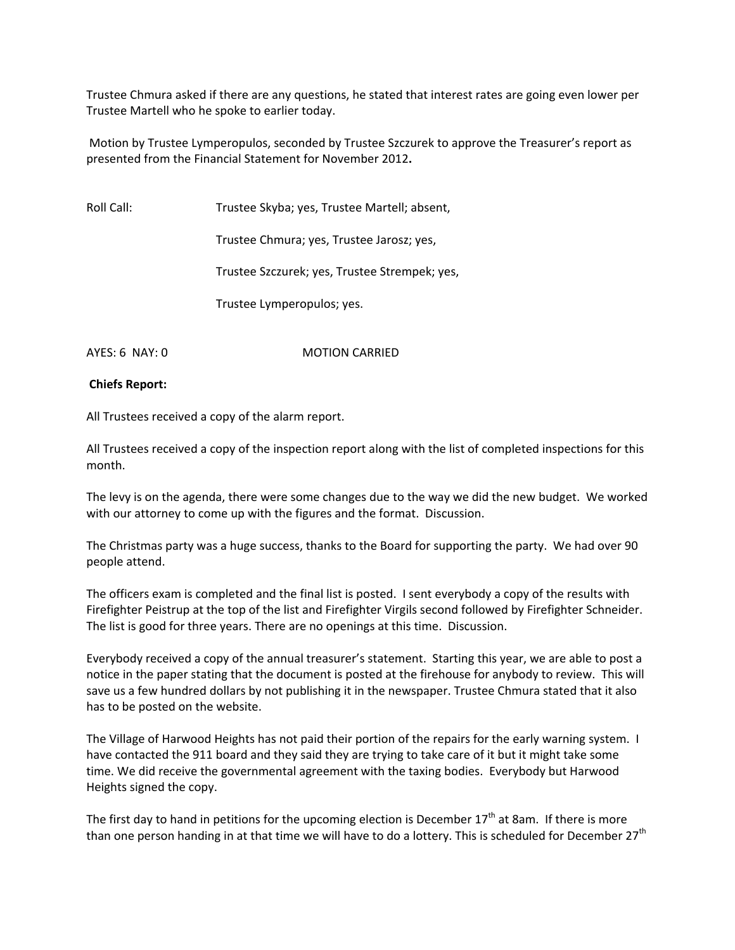Trustee Chmura asked if there are any questions, he stated that interest rates are going even lower per Trustee Martell who he spoke to earlier today.

Motion by Trustee Lymperopulos, seconded by Trustee Szczurek to approve the Treasurer's report as presented from the Financial Statement for November 2012**.**

Roll Call: Trustee Skyba; yes, Trustee Martell; absent,

Trustee Chmura; yes, Trustee Jarosz; yes,

Trustee Szczurek; yes, Trustee Strempek; yes,

Trustee Lymperopulos; yes.

AYES: 6 NAY: 0 MOTION CARRIED

# **Chiefs Report:**

All Trustees received a copy of the alarm report.

All Trustees received a copy of the inspection report along with the list of completed inspections for this month.

The levy is on the agenda, there were some changes due to the way we did the new budget. We worked with our attorney to come up with the figures and the format. Discussion.

The Christmas party was a huge success, thanks to the Board for supporting the party. We had over 90 people attend.

The officers exam is completed and the final list is posted. I sent everybody a copy of the results with Firefighter Peistrup at the top of the list and Firefighter Virgils second followed by Firefighter Schneider. The list is good for three years. There are no openings at this time. Discussion.

Everybody received a copy of the annual treasurer's statement. Starting this year, we are able to post a notice in the paper stating that the document is posted at the firehouse for anybody to review. This will save us a few hundred dollars by not publishing it in the newspaper. Trustee Chmura stated that it also has to be posted on the website.

The Village of Harwood Heights has not paid their portion of the repairs for the early warning system. I have contacted the 911 board and they said they are trying to take care of it but it might take some time. We did receive the governmental agreement with the taxing bodies. Everybody but Harwood Heights signed the copy.

The first day to hand in petitions for the upcoming election is December  $17<sup>th</sup>$  at 8am. If there is more than one person handing in at that time we will have to do a lottery. This is scheduled for December  $27<sup>th</sup>$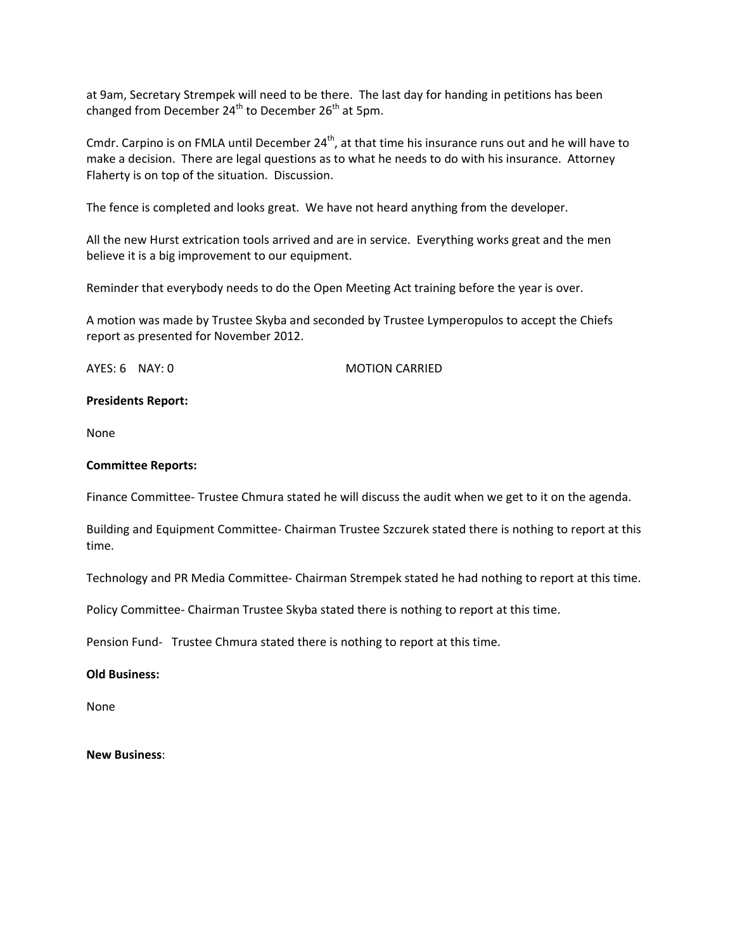at 9am, Secretary Strempek will need to be there. The last day for handing in petitions has been changed from December  $24^{th}$  to December  $26^{th}$  at 5pm.

Cmdr. Carpino is on FMLA until December 24<sup>th</sup>, at that time his insurance runs out and he will have to make a decision. There are legal questions as to what he needs to do with his insurance. Attorney Flaherty is on top of the situation. Discussion.

The fence is completed and looks great. We have not heard anything from the developer.

All the new Hurst extrication tools arrived and are in service. Everything works great and the men believe it is a big improvement to our equipment.

Reminder that everybody needs to do the Open Meeting Act training before the year is over.

A motion was made by Trustee Skyba and seconded by Trustee Lymperopulos to accept the Chiefs report as presented for November 2012.

AYES: 6 NAY: 0 MOTION CARRIED

# **Presidents Report:**

None

# **Committee Reports:**

Finance Committee‐ Trustee Chmura stated he will discuss the audit when we get to it on the agenda.

Building and Equipment Committee‐ Chairman Trustee Szczurek stated there is nothing to report at this time.

Technology and PR Media Committee‐ Chairman Strempek stated he had nothing to report at this time.

Policy Committee‐ Chairman Trustee Skyba stated there is nothing to report at this time.

Pension Fund- Trustee Chmura stated there is nothing to report at this time.

# **Old Business:**

None

**New Business**: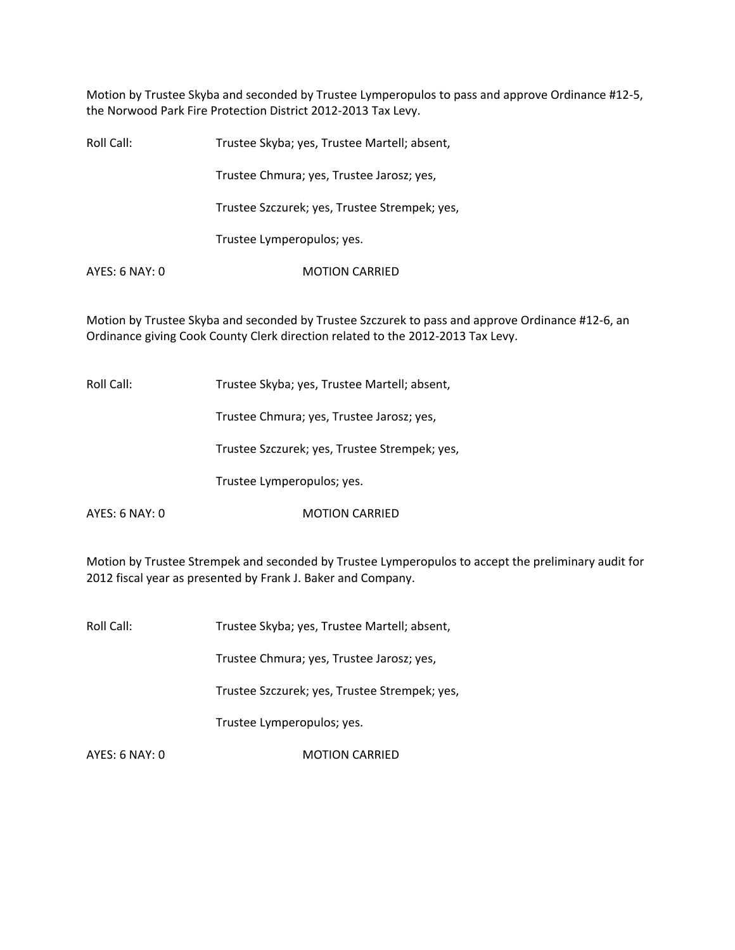Motion by Trustee Skyba and seconded by Trustee Lymperopulos to pass and approve Ordinance #12‐5, the Norwood Park Fire Protection District 2012‐2013 Tax Levy.

| Roll Call:     | Trustee Skyba; yes, Trustee Martell; absent,  |
|----------------|-----------------------------------------------|
|                | Trustee Chmura; yes, Trustee Jarosz; yes,     |
|                | Trustee Szczurek; yes, Trustee Strempek; yes, |
|                | Trustee Lymperopulos; yes.                    |
| AYES: 6 NAY: 0 | <b>MOTION CARRIED</b>                         |
|                |                                               |

Motion by Trustee Skyba and seconded by Trustee Szczurek to pass and approve Ordinance #12‐6, an Ordinance giving Cook County Clerk direction related to the 2012‐2013 Tax Levy.

Roll Call: Trustee Skyba; yes, Trustee Martell; absent,

Trustee Chmura; yes, Trustee Jarosz; yes,

Trustee Szczurek; yes, Trustee Strempek; yes,

Trustee Lymperopulos; yes.

AYES: 6 NAY: 0 MOTION CARRIED

Motion by Trustee Strempek and seconded by Trustee Lymperopulos to accept the preliminary audit for 2012 fiscal year as presented by Frank J. Baker and Company.

Roll Call: Trustee Skyba; yes, Trustee Martell; absent,

Trustee Chmura; yes, Trustee Jarosz; yes,

Trustee Szczurek; yes, Trustee Strempek; yes,

Trustee Lymperopulos; yes.

AYES: 6 NAY: 0 MOTION CARRIED